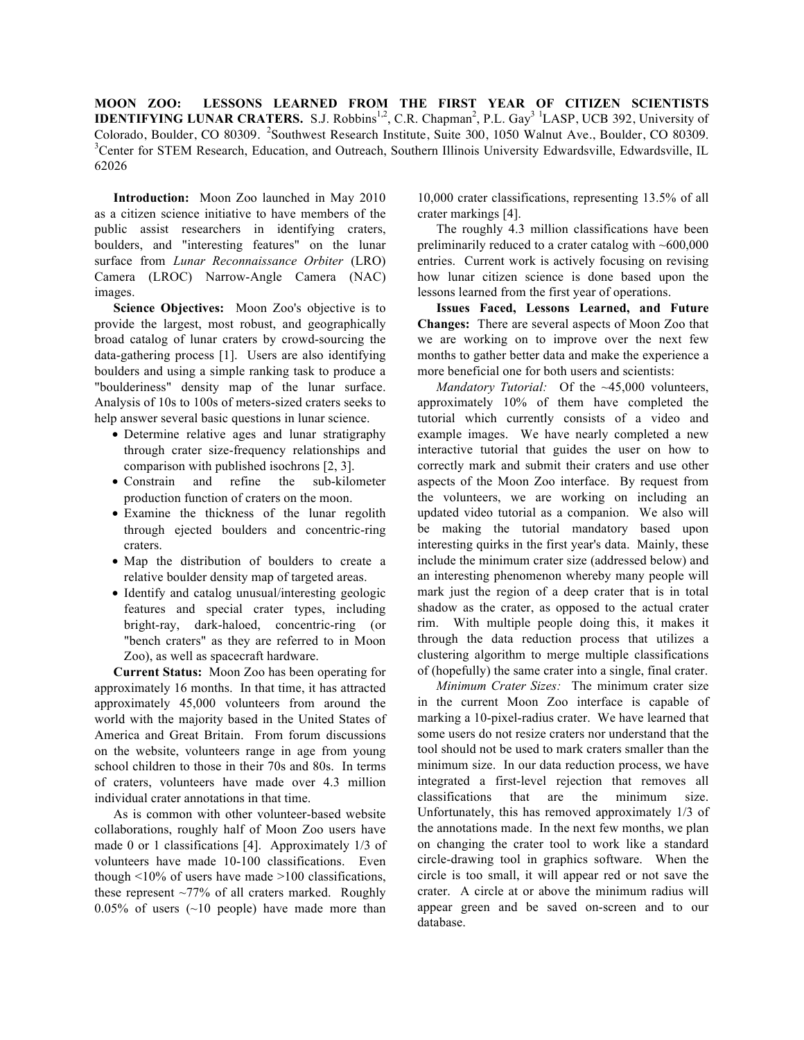**MOON ZOO: LESSONS LEARNED FROM THE FIRST YEAR OF CITIZEN SCIENTISTS IDENTIFYING LUNAR CRATERS.** S.J. Robbins<sup>1,2</sup>, C.R. Chapman<sup>2</sup>, P.L. Gay<sup>3 1</sup>LASP, UCB 392, University of Colorado, Boulder, CO 80309. <sup>2</sup>Southwest Research Institute, Suite 300, 1050 Walnut Ave., Boulder, CO 80309. <sup>3</sup>Center for STEM Research, Education, and Outreach, Southern Illinois University Edwardsville, Edwardsville, IL 62026

**Introduction:** Moon Zoo launched in May 2010 as a citizen science initiative to have members of the public assist researchers in identifying craters, boulders, and "interesting features" on the lunar surface from *Lunar Reconnaissance Orbiter* (LRO) Camera (LROC) Narrow-Angle Camera (NAC) images.

**Science Objectives:** Moon Zoo's objective is to provide the largest, most robust, and geographically broad catalog of lunar craters by crowd-sourcing the data-gathering process [1]. Users are also identifying boulders and using a simple ranking task to produce a "boulderiness" density map of the lunar surface. Analysis of 10s to 100s of meters-sized craters seeks to help answer several basic questions in lunar science.

- Determine relative ages and lunar stratigraphy through crater size-frequency relationships and comparison with published isochrons [2, 3].
- Constrain and refine the sub-kilometer production function of craters on the moon.
- Examine the thickness of the lunar regolith through ejected boulders and concentric-ring craters.
- Map the distribution of boulders to create a relative boulder density map of targeted areas.
- Identify and catalog unusual/interesting geologic features and special crater types, including bright-ray, dark-haloed, concentric-ring (or "bench craters" as they are referred to in Moon Zoo), as well as spacecraft hardware.

**Current Status:** Moon Zoo has been operating for approximately 16 months. In that time, it has attracted approximately 45,000 volunteers from around the world with the majority based in the United States of America and Great Britain. From forum discussions on the website, volunteers range in age from young school children to those in their 70s and 80s. In terms of craters, volunteers have made over 4.3 million individual crater annotations in that time.

As is common with other volunteer-based website collaborations, roughly half of Moon Zoo users have made 0 or 1 classifications [4]. Approximately 1/3 of volunteers have made 10-100 classifications. Even though  $\leq 10\%$  of users have made  $\geq 100$  classifications, these represent  $\sim$ 77% of all craters marked. Roughly  $0.05\%$  of users (~10 people) have made more than

10,000 crater classifications, representing 13.5% of all crater markings [4].

The roughly 4.3 million classifications have been preliminarily reduced to a crater catalog with ~600,000 entries. Current work is actively focusing on revising how lunar citizen science is done based upon the lessons learned from the first year of operations.

**Issues Faced, Lessons Learned, and Future Changes:** There are several aspects of Moon Zoo that we are working on to improve over the next few months to gather better data and make the experience a more beneficial one for both users and scientists:

*Mandatory Tutorial:* Of the ~45,000 volunteers, approximately 10% of them have completed the tutorial which currently consists of a video and example images. We have nearly completed a new interactive tutorial that guides the user on how to correctly mark and submit their craters and use other aspects of the Moon Zoo interface. By request from the volunteers, we are working on including an updated video tutorial as a companion. We also will be making the tutorial mandatory based upon interesting quirks in the first year's data. Mainly, these include the minimum crater size (addressed below) and an interesting phenomenon whereby many people will mark just the region of a deep crater that is in total shadow as the crater, as opposed to the actual crater rim. With multiple people doing this, it makes it through the data reduction process that utilizes a clustering algorithm to merge multiple classifications of (hopefully) the same crater into a single, final crater.

*Minimum Crater Sizes:* The minimum crater size in the current Moon Zoo interface is capable of marking a 10-pixel-radius crater. We have learned that some users do not resize craters nor understand that the tool should not be used to mark craters smaller than the minimum size. In our data reduction process, we have integrated a first-level rejection that removes all classifications that are the minimum size. Unfortunately, this has removed approximately 1/3 of the annotations made. In the next few months, we plan on changing the crater tool to work like a standard circle-drawing tool in graphics software. When the circle is too small, it will appear red or not save the crater. A circle at or above the minimum radius will appear green and be saved on-screen and to our database.